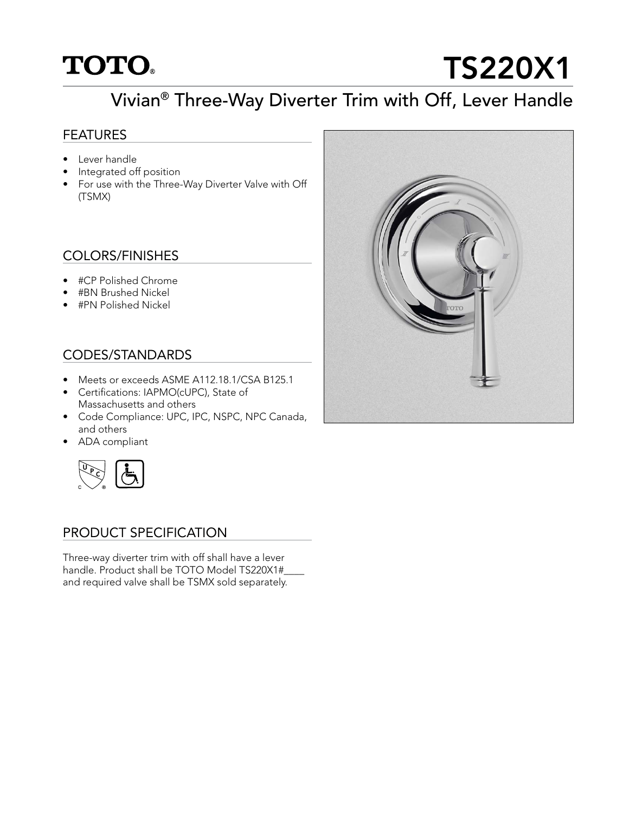## **TOTO.**

# TS220X1

### Vivian® Three-Way Diverter Trim with Off, Lever Handle

#### **FEATURES**

- Lever handle
- Integrated off position
- For use with the Three-Way Diverter Valve with Off (TSMX)

#### COLORS/FINISHES

- #CP Polished Chrome
- #BN Brushed Nickel
- #PN Polished Nickel

#### CODES/STANDARDS

- Meets or exceeds ASME A112.18.1/CSA B125.1
- Certifications: IAPMO(cUPC), State of Massachusetts and others
- Code Compliance: UPC, IPC, NSPC, NPC Canada, and others
- ADA compliant



#### PRODUCT SPECIFICATION

Three-way diverter trim with off shall have a lever handle. Product shall be TOTO Model TS220X1# and required valve shall be TSMX sold separately.